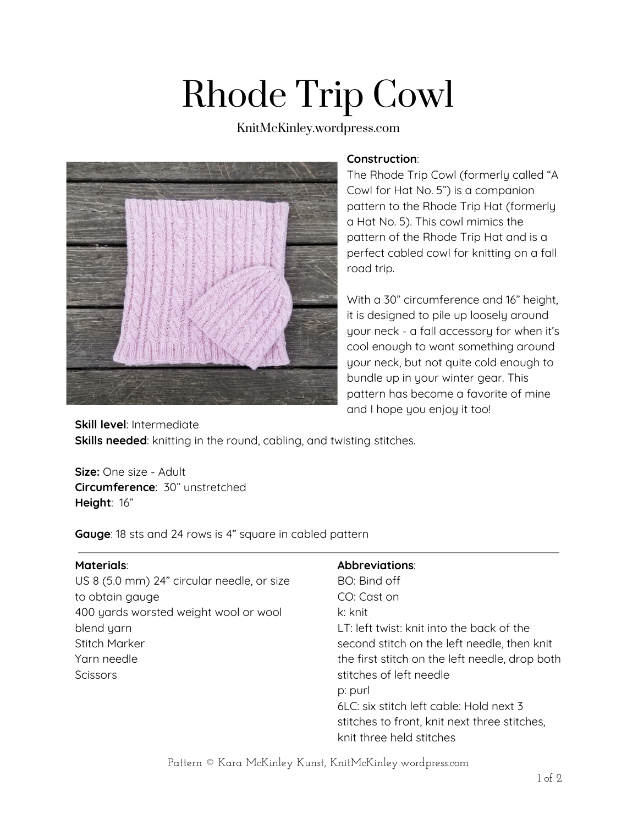# Rhode Trip Cowl

KnitMcKinley.wordpress.com



### **Construction**:

The Rhode Trip Cowl (formerly called "A Cowl for Hat No. 5") is a companion pattern to the Rhode Trip Hat (formerly a Hat No. 5). This cowl mimics the pattern of the Rhode Trip Hat and is a perfect cabled cowl for knitting on a fall road trip.

With a 30" circumference and 16" height, it is designed to pile up loosely around your neck - a fall accessory for when it's cool enough to want something around your neck, but not quite cold enough to bundle up in your winter gear. This pattern has become a favorite of mine and I hope you enjoy it too!

**Skill level**: Intermediate **Skills needed**: knitting in the round, cabling, and twisting stitches.

**Size:** One size - Adult **Circumference**: 30" unstretched **Height**: 16"

**Gauge**: 18 sts and 24 rows is 4" square in cabled pattern

## **Materials**:

US 8 (5.0 mm) 24" circular needle, or size to obtain gauge 400 yards worsted weight wool or wool blend yarn Stitch Marker Yarn needle **Scissors** 

# **Abbreviations**:

BO: Bind off CO: Cast on k: knit LT: left twist: knit into the back of the second stitch on the left needle, then knit the first stitch on the left needle, drop both stitches of left needle p: purl 6LC: six stitch left cable: Hold next 3 stitches to front, knit next three stitches, knit three held stitches